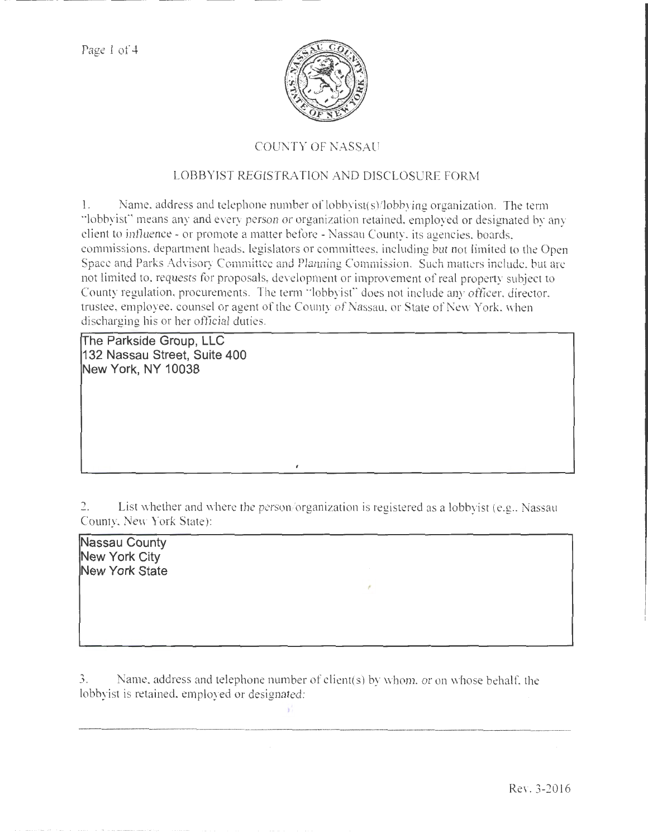

## COUNTY OF NASSAU

## LOBBYIST REGISTRATION AND DISCLOSURE FORM

1. Name. address and telephone number of lobbyist( s)/lobbying organization. The term "lobbyisf' means any and every person or organization retained, employed or designated by any client to influence- or promote a matter before -Nassau County, its agencies, boards, commissions, department heads. legislators or committees, including but not limited to the Open Space and Parks Advisory Committee and Planning Commission. Such matters include, but are not limited to, requests for proposals, development or improvement of real property subject to County regulation, procurements. The term ''lobbyist" does not include any officer. director, trustee, employee, counsel or agent of the County of Nassau, or State of New York, when discharging his or her official duties.

**!The Parkside Group, LLC 132 Nassau Street, Suite 400 New York, NY 1 0038** 

2. List whether and where the person/organization is registered as a lobbyist (e.g., Nassau County, New York State):

**Nassau County New York City New York State** 

3. Name, address and telephone number of client(s) by whom. or on whose behalf. the lobbyist is retained, employed or designated: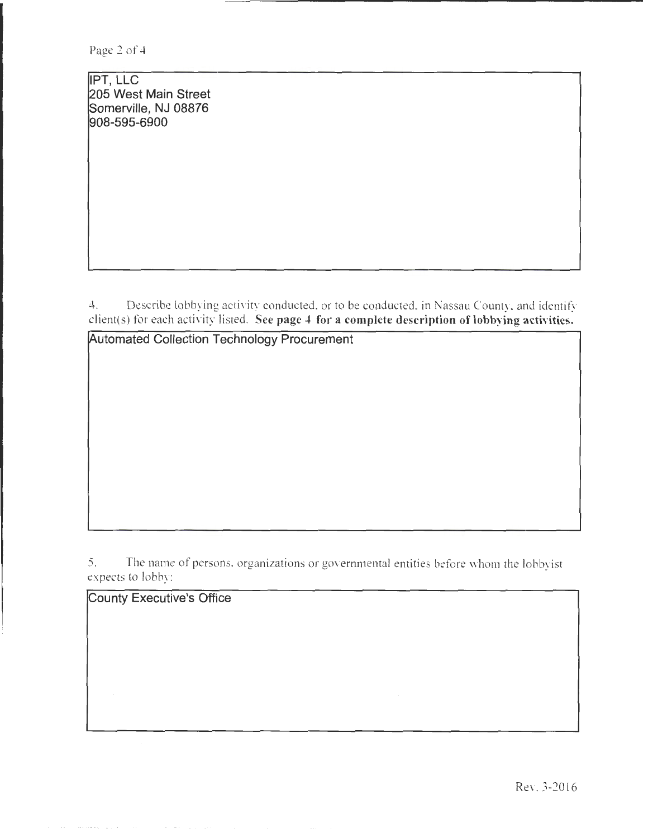Page 2 of 4

IPT, LLC 205 West Main Street Somerville, NJ 08876 908-595-6900

4. Describe lobbying activity conducted. or to be conducted, in Nassau County. and identify client(s) for each activity listed. See page 4 for a complete description of lobbying activities.

Automated Collection Technology Procurement

5. The name of persons, organizations or goverrunental entities before whom the lobbyist expects to lobby:

County Executive's Office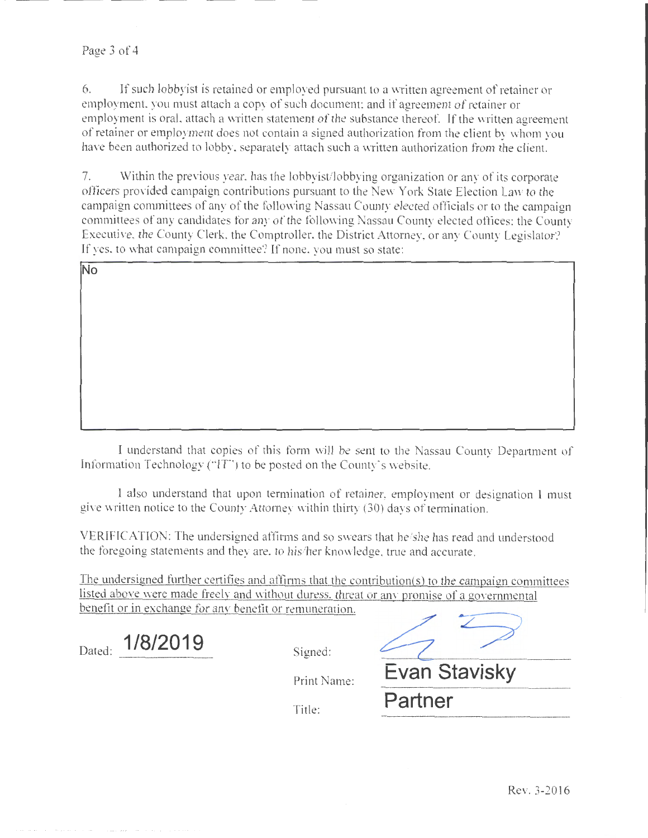6. If such lobby ist is retained or employed pursuant to a written agreement of retainer or employment, you must attach a copy of such document; and if agreement of retainer or employment is oral, attach a written statement of the substance thereof. If the written agreement of retainer or employment does not contain a signed authorization from the client by whom you have been authorized to lobby, separately attach such a written authorization from the client.

7. Within the previous year, has the lobbyist/lobbying organization or any of its corporate officers provided campaign contributions pursuant to the New York State Election Law to the campaign committees of any of the following Nassau County elected officials or to the campaign committees of any candidates for any of the following Nassau County elected offices: the County Executive, the County Clerk, the Comptroller, the District Attorney, or any County Legislator? If yes, to what campaign committee? If none. you must so state:

| No |  |  |  |
|----|--|--|--|
|    |  |  |  |
|    |  |  |  |
|    |  |  |  |
|    |  |  |  |
|    |  |  |  |
|    |  |  |  |

I tmderstand that copies of this form will be sent to the Nassau County Department of Information Technology ("IT") to be posted on the County's website.

I also understand that upon termination of retainer, employment or designation I must give written notice to the County Attorney within thirty (30) days of termination.

VERIFICATION: The undersigned affirms and so swears that he/she has read and understood the foregoing statements and they are. to his/her knowledge. true and accurate.

The undersigned further certifies and affinns that the contribution(s) to the campaign conunittees listed above were made freely and without duress. threat or any promise of a governmental benefit or in exchange for any benefit or remuneration.

| 1/8/2019<br>Dated:<br>RAS LA CONSTRUITO DE VIDA CONSTRUITO DE CONSTRUITO DE MANAGEMENTO DE CONSTRUITO DE CONSTRUITO DE CONSTRUITO DE | Signed:     |               |
|--------------------------------------------------------------------------------------------------------------------------------------|-------------|---------------|
|                                                                                                                                      | Print Name: | Evan Stavisky |
|                                                                                                                                      | Title:      | Partner       |